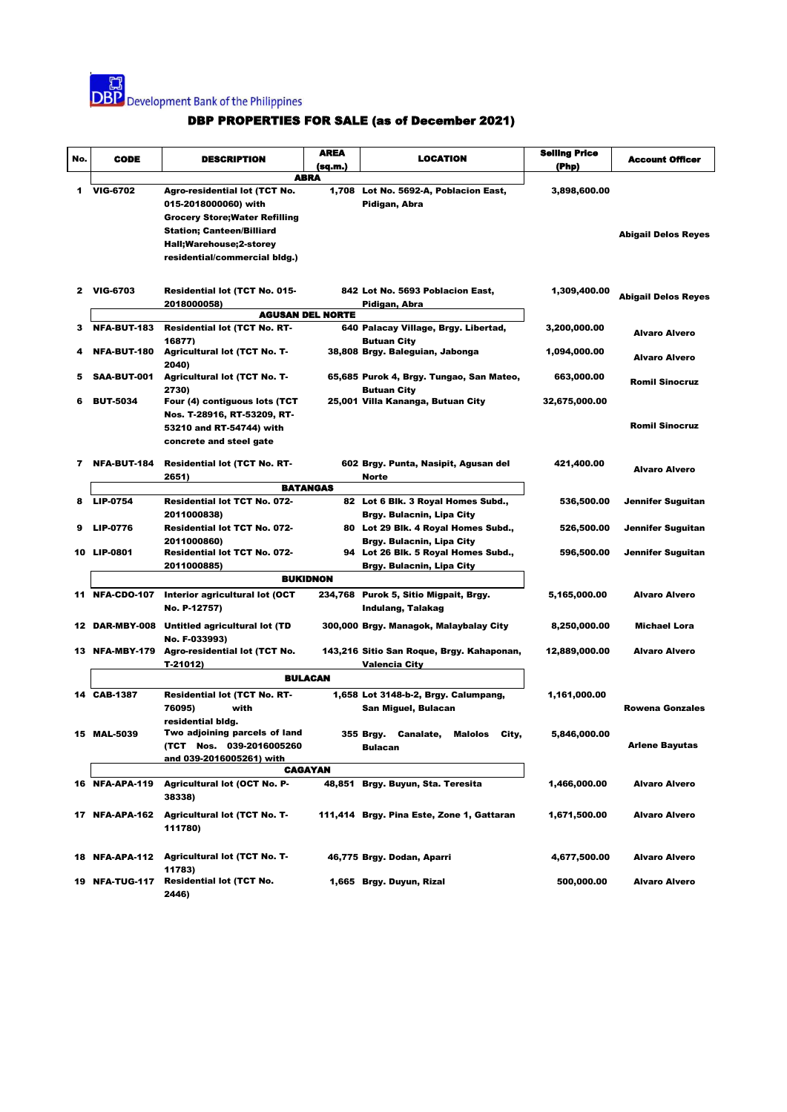

| No. | <b>CODE</b>             | <b>DESCRIPTION</b>                                            | AREA            | LOCATION                                                         | <b>Selling Price</b> | <b>Account Officer</b>     |
|-----|-------------------------|---------------------------------------------------------------|-----------------|------------------------------------------------------------------|----------------------|----------------------------|
|     |                         |                                                               | (sq.m.)         |                                                                  | (Php)                |                            |
|     |                         |                                                               | <b>ABRA</b>     |                                                                  |                      |                            |
| 1   | <b>VIG-6702</b>         | <b>Agro-residential lot (TCT No.</b>                          |                 | 1,708 Lot No. 5692-A, Poblacion East,                            | 3,898,600.00         |                            |
|     |                         | 015-2018000060) with<br><b>Grocery Store; Water Refilling</b> |                 | Pidigan, Abra                                                    |                      |                            |
|     |                         | <b>Station; Canteen/Billiard</b>                              |                 |                                                                  |                      |                            |
|     |                         | Hall;Warehouse;2-storey                                       |                 |                                                                  |                      | <b>Abigail Delos Reyes</b> |
|     |                         | residential/commercial bldg.)                                 |                 |                                                                  |                      |                            |
|     |                         |                                                               |                 |                                                                  |                      |                            |
|     | 2 VIG-6703              | Residential lot (TCT No. 015-                                 |                 | 842 Lot No. 5693 Poblacion East,                                 | 1,309,400.00         |                            |
|     |                         | 2018000058)                                                   |                 | Pidigan, Abra                                                    |                      | <b>Abigail Delos Reyes</b> |
|     | <b>AGUSAN DEL NORTE</b> |                                                               |                 |                                                                  |                      |                            |
| 3   | <b>NFA-BUT-183</b>      | <b>Residential lot (TCT No. RT-</b>                           |                 | 640 Palacay Village, Brgy. Libertad,                             | 3,200,000.00         | <b>Alvaro Alvero</b>       |
|     |                         | 16877)                                                        |                 | <b>Butuan City</b>                                               |                      |                            |
|     | <b>NFA-BUT-180</b>      | <b>Agricultural lot (TCT No. T-</b><br>2040)                  |                 | 38,808 Brgy. Baleguian, Jabonga                                  | 1,094,000.00         | <b>Alvaro Alvero</b>       |
| 5   | SAA-BUT-001             | <b>Agricultural lot (TCT No. T-</b>                           |                 | 65,685 Purok 4, Brgy. Tungao, San Mateo,                         | 663,000.00           |                            |
|     |                         | 2730)                                                         |                 | <b>Butuan City</b>                                               |                      | <b>Romil Sinocruz</b>      |
| 6   | <b>BUT-5034</b>         | Four (4) contiguous lots (TCT                                 |                 | 25,001 Villa Kananga, Butuan City                                | 32,675,000.00        |                            |
|     |                         | Nos. T-28916, RT-53209, RT-                                   |                 |                                                                  |                      |                            |
|     |                         | 53210 and RT-54744) with                                      |                 |                                                                  |                      | <b>Romil Sinocruz</b>      |
|     |                         | concrete and steel gate                                       |                 |                                                                  |                      |                            |
| 7   | <b>NFA-BUT-184</b>      | <b>Residential lot (TCT No. RT-</b>                           |                 | 602 Brgy. Punta, Nasipit, Agusan del                             | 421,400.00           | <b>Alvaro Alvero</b>       |
|     |                         | 2651)                                                         |                 | Norte                                                            |                      |                            |
|     |                         |                                                               | <b>BATANGAS</b> |                                                                  |                      |                            |
| 8   | <b>LIP-0754</b>         | <b>Residential lot TCT No. 072-</b><br>2011000838)            |                 | 82 Lot 6 Blk. 3 Royal Homes Subd.,                               | 536,500.00           | Jennifer Suguitan          |
| 9   | <b>LIP-0776</b>         | Residential lot TCT No. 072-                                  |                 | Brgy. Bulacnin, Lipa City<br>80 Lot 29 Blk. 4 Royal Homes Subd., | 526,500.00           | Jennifer Suguitan          |
|     |                         | 2011000860)                                                   |                 | Brgy. Bulacnin, Lipa City                                        |                      |                            |
|     | 10 LIP-0801             | <b>Residential lot TCT No. 072-</b>                           |                 | 94 Lot 26 Blk. 5 Royal Homes Subd.,                              | 596,500.00           | Jennifer Suguitan          |
|     |                         | 2011000885)                                                   |                 | <b>Brgy. Bulacnin, Lipa City</b>                                 |                      |                            |
|     |                         |                                                               | <b>BUKIDNON</b> |                                                                  |                      |                            |
|     |                         | 11 NFA-CDO-107 Interior agricultural lot (OCT                 |                 | 234,768 Purok 5, Sitio Migpait, Brgy.                            | 5,165,000.00         | <b>Alvaro Alvero</b>       |
|     |                         | No. P-12757)                                                  |                 | Indulang, Talakag                                                |                      |                            |
|     |                         | 12 DAR-MBY-008 Untitled agricultural lot (TD                  |                 | 300,000 Brgy. Managok, Malaybalay City                           | 8,250,000.00         | Michael Lora               |
|     |                         | No. F-033993)                                                 |                 |                                                                  |                      |                            |
|     | 13 NFA-MBY-179          | Agro-residential lot (TCT No.                                 |                 | 143,216 Sitio San Roque, Brgy. Kahaponan,                        | 12,889,000.00        | <b>Alvaro Alvero</b>       |
|     |                         | T-21012)                                                      |                 | Valencia City                                                    |                      |                            |
|     |                         |                                                               | <b>BULACAN</b>  |                                                                  |                      |                            |
|     | 14 CAB-1387             | <b>Residential lot (TCT No. RT-</b>                           |                 | 1,658 Lot 3148-b-2, Brgy. Calumpang,                             | 1,161,000.00         |                            |
|     |                         | 76095)<br>with                                                |                 | San Miguel, Bulacan                                              |                      | <b>Rowena Gonzales</b>     |
|     | 15 MAL-5039             | residential bldg.<br>Two adjoining parcels of land            |                 | 355 Brgy. Canalate, Malolos City,                                | 5,846,000.00         |                            |
|     |                         | (TCT Nos. 039-2016005260                                      |                 | Bulacan                                                          |                      | <b>Arlene Bayutas</b>      |
|     |                         | and 039-2016005261) with                                      |                 |                                                                  |                      |                            |
|     |                         |                                                               | <b>CAGAYAN</b>  |                                                                  |                      |                            |
|     | <b>16 NFA-APA-119</b>   | <b>Agricultural lot (OCT No. P-</b>                           |                 | 48,851 Brgy. Buyun, Sta. Teresita                                | 1,466,000.00         | <b>Alvaro Alvero</b>       |
|     |                         | 38338)                                                        |                 |                                                                  |                      |                            |
|     | 17 NFA-APA-162          | <b>Agricultural lot (TCT No. T-</b>                           |                 | 111,414 Brgy. Pina Este, Zone 1, Gattaran                        | 1,671,500.00         | <b>Alvaro Alvero</b>       |
|     |                         | 111780)                                                       |                 |                                                                  |                      |                            |
|     |                         |                                                               |                 |                                                                  |                      |                            |
|     |                         | 18 NFA-APA-112 Agricultural lot (TCT No. T-                   |                 | 46,775 Brgy. Dodan, Aparri                                       | 4,677,500.00         | <b>Alvaro Alvero</b>       |
|     | <b>19 NFA-TUG-117</b>   | 11783)<br><b>Residential lot (TCT No.</b>                     |                 | 1,665 Brgy. Duyun, Rizal                                         | 500,000.00           | <b>Alvaro Alvero</b>       |
|     |                         | 2446)                                                         |                 |                                                                  |                      |                            |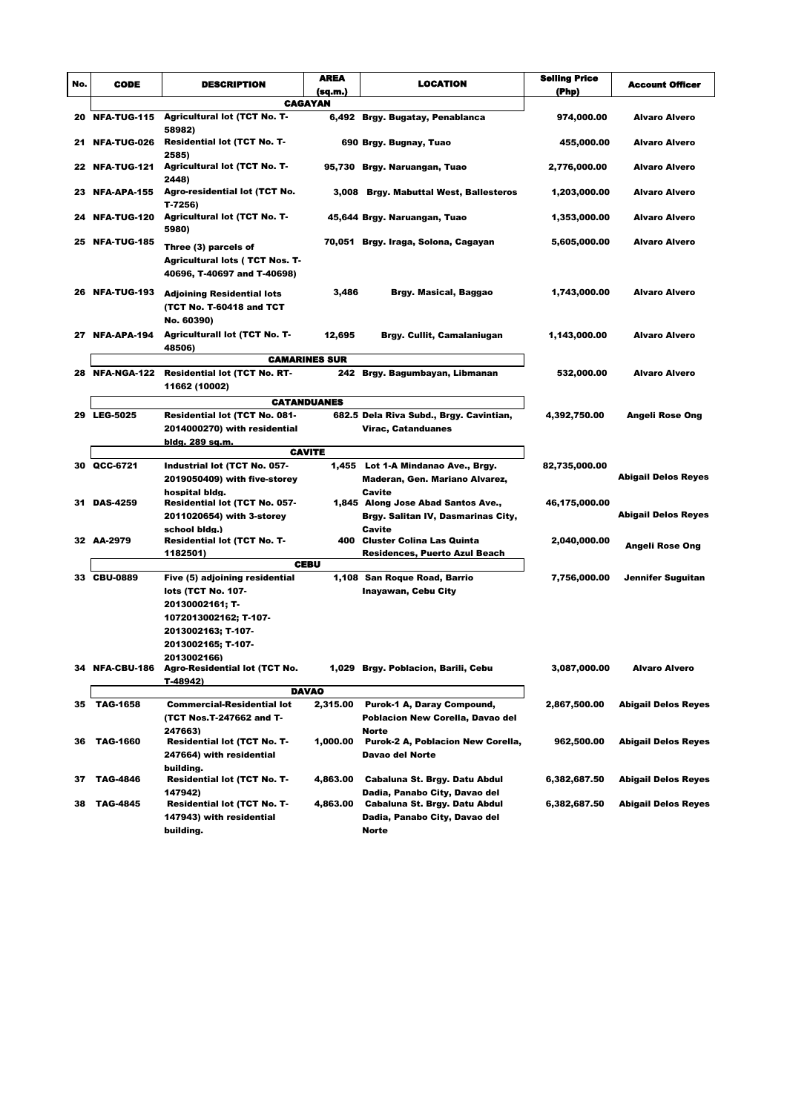| No. | <b>CODE</b>           | <b>DESCRIPTION</b>                                                                           | <b>AREA</b>               | <b>LOCATION</b>                              | <b>Selling Price</b> | Account Officer            |
|-----|-----------------------|----------------------------------------------------------------------------------------------|---------------------------|----------------------------------------------|----------------------|----------------------------|
|     |                       |                                                                                              | (sq.m.)<br><b>CAGAYAN</b> |                                              | (Php)                |                            |
| 20  | <b>NFA-TUG-115</b>    | <b>Agricultural lot (TCT No. T-</b>                                                          |                           | 6,492 Brgy. Bugatay, Penablanca              | 974,000.00           | <b>Alvaro Alvero</b>       |
|     | 21 NFA-TUG-026        | 58982)<br>Residential lot (TCT No. T-<br>2585)                                               |                           | 690 Brgy. Bugnay, Tuao                       | 455,000.00           | <b>Alvaro Alvero</b>       |
|     | <b>22 NFA-TUG-121</b> | <b>Agricultural lot (TCT No. T-</b><br>2448)                                                 |                           | 95,730 Brgy. Naruangan, Tuao                 | 2,776,000.00         | <b>Alvaro Alvero</b>       |
|     | 23 NFA-APA-155        | <b>Agro-residential lot (TCT No.</b><br>$T-7256$                                             |                           | 3,008 Brgy. Mabuttal West, Ballesteros       | 1,203,000.00         | <b>Alvaro Alvero</b>       |
| 24. | <b>NFA-TUG-120</b>    | <b>Agricultural lot (TCT No. T-</b><br>5980)                                                 |                           | 45,644 Brgy. Naruangan, Tuao                 | 1,353,000.00         | <b>Alvaro Alvero</b>       |
|     | 25 NFA-TUG-185        | Three (3) parcels of<br><b>Agricultural lots (TCT Nos. T-</b><br>40696, T-40697 and T-40698) |                           | 70,051 Brgy. Iraga, Solona, Cagayan          | 5,605,000.00         | <b>Alvaro Alvero</b>       |
|     | 26 NFA-TUG-193        | <b>Adjoining Residential lots</b><br>(TCT No. T-60418 and TCT<br>No. 60390)                  | 3,486                     | Brgy. Masical, Baggao                        | 1,743,000.00         | <b>Alvaro Alvero</b>       |
|     | 27 NFA-APA-194        | <b>Agriculturall lot (TCT No. T-</b><br>48506)                                               | 12,695                    | Brgy. Cullit, Camalaniugan                   | 1,143,000.00         | <b>Alvaro Alvero</b>       |
|     |                       |                                                                                              | <b>CAMARINES SUR</b>      |                                              |                      |                            |
|     | 28 NFA-NGA-122        | <b>Residential lot (TCT No. RT-</b><br>11662 (10002)                                         |                           | 242 Brgy. Bagumbayan, Libmanan               | 532,000.00           | <b>Alvaro Alvero</b>       |
|     |                       |                                                                                              | <b>CATANDUANES</b>        |                                              |                      |                            |
|     | 29 LEG-5025           | Residential lot (TCT No. 081-                                                                |                           | 682.5 Dela Riva Subd., Brgy. Cavintian,      | 4,392,750.00         | Angeli Rose Ong            |
|     |                       | 2014000270) with residential                                                                 |                           | Virac, Catanduanes                           |                      |                            |
|     |                       | bldg. 289 sq.m.<br><b>CAVITE</b>                                                             |                           |                                              |                      |                            |
|     | 30 QCC-6721           | Industrial lot (TCT No. 057-                                                                 |                           | 1,455 Lot 1-A Mindanao Ave., Brgy.           | 82,735,000.00        |                            |
|     |                       | 2019050409) with five-storey                                                                 |                           | Maderan, Gen. Mariano Alvarez,               |                      | <b>Abigail Delos Reyes</b> |
|     |                       | hospital bidg.                                                                               |                           | Cavite                                       |                      |                            |
|     | 31 DAS-4259           | <b>Residential lot (TCT No. 057-</b>                                                         |                           | 1,845 Along Jose Abad Santos Ave.,           | 46,175,000.00        | <b>Abigail Delos Reyes</b> |
|     |                       | 2011020654) with 3-storey<br>school bidg.)                                                   |                           | Brgy. Salitan IV, Dasmarinas City,<br>Cavite |                      |                            |
|     | 32 AA-2979            | <b>Residential lot (TCT No. T-</b>                                                           |                           | 400 Cluster Colina Las Quinta                | 2,040,000.00         |                            |
|     |                       | 1182501)                                                                                     |                           | Residences, Puerto Azul Beach                |                      | <b>Angeli Rose Ong</b>     |
|     |                       |                                                                                              | <b>CEBU</b>               |                                              |                      |                            |
|     | 33 CBU-0889           | Five (5) adjoining residential                                                               |                           | 1,108 San Roque Road, Barrio                 | 7,756,000.00         | Jennifer Suguitan          |
|     |                       | lots (TCT No. 107-                                                                           |                           | <b>Inayawan, Cebu City</b>                   |                      |                            |
|     |                       | 20130002161; T-<br>1072013002162; T-107-                                                     |                           |                                              |                      |                            |
|     |                       | 2013002163; T-107-                                                                           |                           |                                              |                      |                            |
|     |                       | 2013002165; T-107-                                                                           |                           |                                              |                      |                            |
|     |                       | 2013002166)                                                                                  |                           |                                              |                      |                            |
|     | 34 NFA-CBU-186        | Agro-Residential lot (TCT No.                                                                |                           | 1,029 Brgy. Poblacion, Barili, Cebu          | 3,087,000.00         | <b>Alvaro Alvero</b>       |
|     |                       | T-48942)                                                                                     | <b>DAVAO</b>              |                                              |                      |                            |
| 35  | <b>TAG-1658</b>       | <b>Commercial-Residential lot</b>                                                            | 2,315.00                  | Purok-1 A, Daray Compound,                   | 2,867,500.00         | <b>Abigail Delos Reyes</b> |
|     |                       | (TCT Nos.T-247662 and T-                                                                     |                           | Poblacion New Corella, Davao del             |                      |                            |
|     |                       | 247663)                                                                                      |                           | Norte                                        |                      |                            |
| 36  | <b>TAG-1660</b>       | <b>Residential lot (TCT No. T-</b>                                                           | 1,000.00                  | Purok-2 A, Poblacion New Corella,            | 962,500.00           | <b>Abigail Delos Reyes</b> |
|     |                       | 247664) with residential                                                                     |                           | Davao del Norte                              |                      |                            |
| 37  | <b>TAG-4846</b>       | building.<br>Residential lot (TCT No. T-                                                     | 4,863.00                  | Cabaluna St. Brgy. Datu Abdul                | 6,382,687.50         | <b>Abigail Delos Reyes</b> |
|     |                       | 147942)                                                                                      |                           | Dadia, Panabo City, Davao del                |                      |                            |
| 38  | <b>TAG-4845</b>       | <b>Residential lot (TCT No. T-</b>                                                           | 4,863.00                  | Cabaluna St. Brgy. Datu Abdul                | 6,382,687.50         | <b>Abigail Delos Reyes</b> |
|     |                       | 147943) with residential                                                                     |                           | Dadia, Panabo City, Davao del                |                      |                            |
|     |                       | building.                                                                                    |                           | <b>Norte</b>                                 |                      |                            |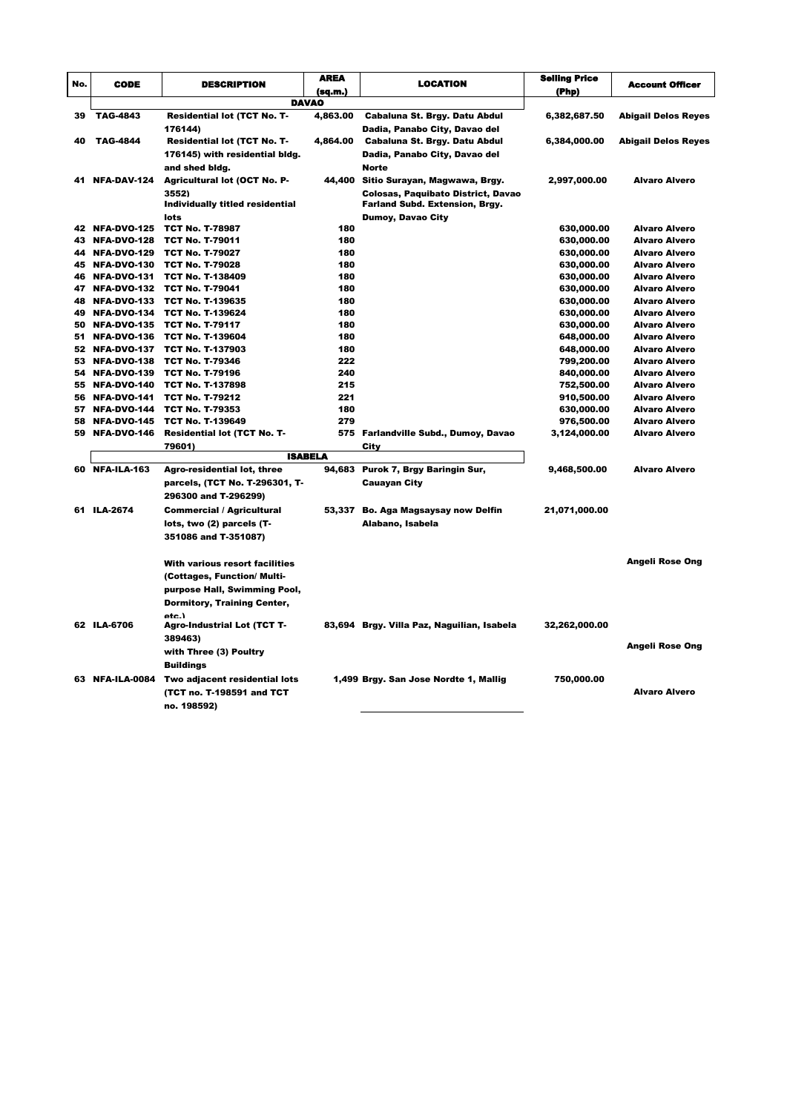|     |                                  |                                                   | AREA           |                                            | <b>Selling Price</b>     |                                       |
|-----|----------------------------------|---------------------------------------------------|----------------|--------------------------------------------|--------------------------|---------------------------------------|
| No. | <b>CODE</b>                      | DESCRIPTION                                       | (sq.m.)        | LOCATION                                   | (Php)                    | <b>Account Officer</b>                |
|     |                                  |                                                   | <b>DAVAO</b>   |                                            |                          |                                       |
| 39  | <b>TAG-4843</b>                  | <b>Residential lot (TCT No. T-</b>                | 4,863.00       | Cabaluna St. Brgy. Datu Abdul              | 6,382,687.50             | <b>Abigail Delos Reyes</b>            |
|     |                                  | 176144)                                           |                | Dadia, Panabo City, Davao del              |                          |                                       |
| 40  | <b>TAG-4844</b>                  | Residential lot (TCT No. T-                       | 4,864.00       | Cabaluna St. Brgy. Datu Abdul              | 6,384,000.00             | <b>Abigail Delos Reyes</b>            |
|     |                                  | 176145) with residential bldg.                    |                | Dadia, Panabo City, Davao del              |                          |                                       |
|     |                                  | and shed bidg.                                    |                | <b>Norte</b>                               |                          |                                       |
| 41  | NFA-DAV-124                      | <b>Agricultural lot (OCT No. P-</b>               |                | 44,400 Sitio Surayan, Magwawa, Brgy.       | 2,997,000.00             | Alvaro Alvero                         |
|     |                                  | 3552)                                             |                | <b>Colosas, Paquibato District, Davao</b>  |                          |                                       |
|     |                                  | Individually titled residential                   |                | <b>Farland Subd. Extension, Brgy.</b>      |                          |                                       |
|     |                                  | lots                                              |                | <b>Dumoy, Davao City</b>                   |                          |                                       |
|     | 42 NFA-DVO-125                   | <b>TCT No. T-78987</b>                            | 180            |                                            | 630,000.00               | <b>Alvaro Alvero</b>                  |
| 43. | NFA-DVO-128                      | <b>TCT No. T-79011</b>                            | 180            |                                            | 630,000.00               | Alvaro Alvero                         |
|     | 44 NFA-DVO-129                   | <b>TCT No. T-79027</b>                            | 180            |                                            | 630,000.00               | Alvaro Alvero                         |
|     | 45 NFA-DVO-130                   | <b>TCT No. T-79028</b>                            | 180            |                                            | 630,000.00               | <b>Alvaro Alvero</b>                  |
|     | 46 NFA-DVO-131                   | <b>TCT No. T-138409</b>                           | 180            |                                            | 630,000.00               | <b>Alvaro Alvero</b>                  |
|     | 47 NFA-DVO-132                   | <b>TCT No. T-79041</b>                            | 180            |                                            | 630,000.00               | Alvaro Alvero                         |
|     | 48 NFA-DVO-133                   | <b>TCT No. T-139635</b>                           | 180            |                                            | 630,000.00               | Alvaro Alvero                         |
|     | 49 NFA-DVO-134                   | <b>TCT No. T-139624</b>                           | 180            |                                            | 630,000.00               | Alvaro Alvero                         |
|     | 50 NFA-DVO-135                   | <b>TCT No. T-79117</b>                            | 180            |                                            | 630,000.00               | Alvaro Alvero                         |
| 51  | NFA-DVO-136                      | <b>TCT No. T-139604</b>                           | 180            |                                            | 648,000.00               | Alvaro Alvero                         |
|     | 52 NFA-DVO-137                   | <b>TCT No. T-137903</b>                           | 180            |                                            | 648,000.00               | Alvaro Alvero                         |
|     | 53 NFA-DVO-138                   | <b>TCT No. T-79346</b>                            | 222            |                                            | 799,200.00               | Alvaro Alvero                         |
|     | 54 NFA-DVO-139<br>55 NFA-DVO-140 | <b>TCT No. T-79196</b><br><b>TCT No. T-137898</b> | 240<br>215     |                                            | 840,000.00               | <b>Alvaro Alvero</b><br>Alvaro Alvero |
|     | 56 NFA-DVO-141                   | <b>TCT No. T-79212</b>                            | 221            |                                            | 752,500.00               | <b>Alvaro Alvero</b>                  |
| 57. | NFA-DVO-144                      | <b>TCT No. T-79353</b>                            | 180            |                                            | 910,500.00<br>630,000.00 | Alvaro Alvero                         |
|     | 58 NFA-DVO-145                   | <b>TCT No. T-139649</b>                           | 279            |                                            | 976,500.00               | Alvaro Alvero                         |
|     | 59 NFA-DVO-146                   | <b>Residential lot (TCT No. T-</b>                |                | 575 Farlandville Subd., Dumoy, Davao       | 3,124,000.00             | Alvaro Alvero                         |
|     |                                  | 79601)                                            |                | City                                       |                          |                                       |
|     |                                  |                                                   | <b>ISABELA</b> |                                            |                          |                                       |
|     | 60 NFA-ILA-163                   | Agro-residential lot, three                       | 94,683         | Purok 7, Brgy Baringin Sur,                | 9,468,500.00             | Alvaro Alvero                         |
|     |                                  | parcels, (TCT No. T-296301, T-                    |                | <b>Cauayan City</b>                        |                          |                                       |
|     |                                  | 296300 and T-296299)                              |                |                                            |                          |                                       |
|     | 61 ILA-2674                      | <b>Commercial / Agricultural</b>                  |                | 53,337 Bo. Aga Magsaysay now Delfin        | 21,071,000.00            |                                       |
|     |                                  | lots, two (2) parcels (T-                         |                | Alabano, Isabela                           |                          |                                       |
|     |                                  | 351086 and T-351087)                              |                |                                            |                          |                                       |
|     |                                  |                                                   |                |                                            |                          |                                       |
|     |                                  | With various resort facilities                    |                |                                            |                          | <b>Angeli Rose Ong</b>                |
|     |                                  | (Cottages, Function/ Multi-                       |                |                                            |                          |                                       |
|     |                                  |                                                   |                |                                            |                          |                                       |
|     |                                  | purpose Hall, Swimming Pool,                      |                |                                            |                          |                                       |
|     |                                  | <b>Dormitory, Training Center,</b>                |                |                                            |                          |                                       |
|     | 62 ILA-6706                      | etc.)<br><b>Agro-Industrial Lot (TCT T-</b>       |                | 83,694 Brgy. Villa Paz, Naguilian, Isabela | 32,262,000.00            |                                       |
|     |                                  | 389463)                                           |                |                                            |                          |                                       |
|     |                                  | with Three (3) Poultry                            |                |                                            |                          | <b>Angeli Rose Ong</b>                |
|     |                                  |                                                   |                |                                            |                          |                                       |
|     |                                  | <b>Buildings</b>                                  |                |                                            |                          |                                       |
|     | 63 NFA-ILA-0084                  | Two adjacent residential lots                     |                | 1,499 Brgy. San Jose Nordte 1, Mallig      | 750,000.00               |                                       |
|     |                                  | (TCT no. T-198591 and TCT                         |                |                                            |                          | <b>Alvaro Alvero</b>                  |
|     |                                  | no. 198592)                                       |                |                                            |                          |                                       |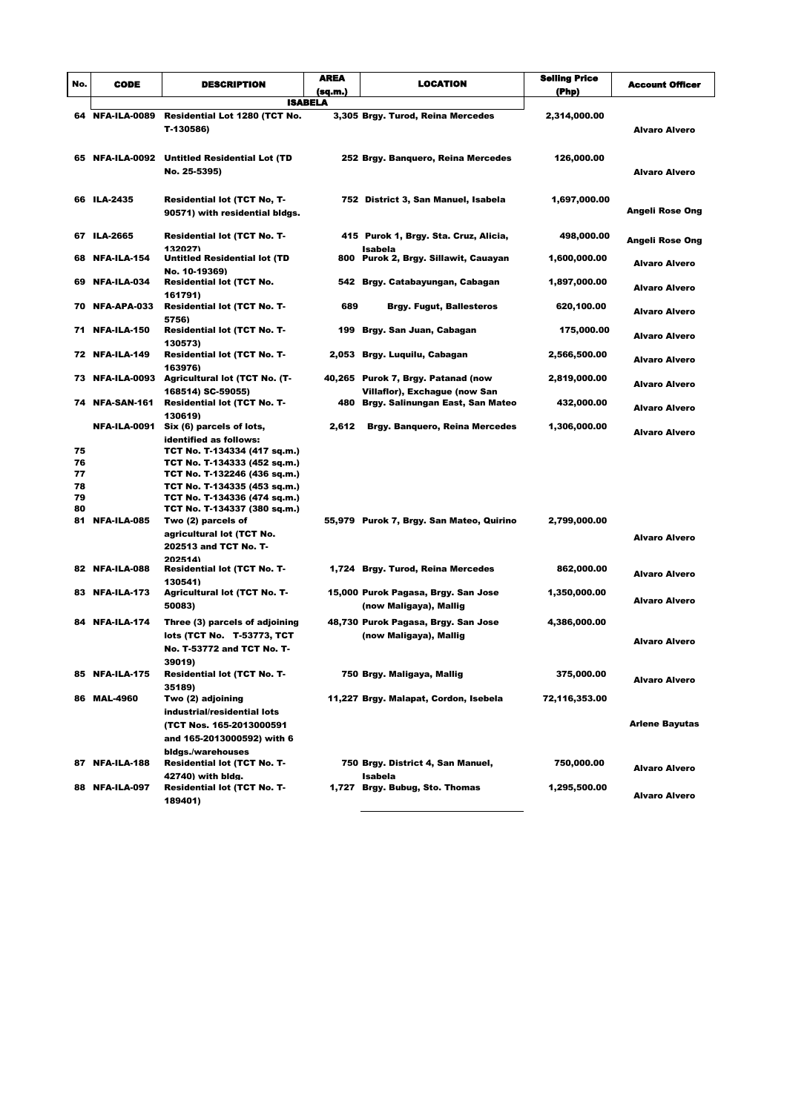| No.            | <b>CODE</b>     | <b>DESCRIPTION</b>                                                                                                                                                                  | AREA<br>(sq.m.) | <b>LOCATION</b>                                                     | <b>Seiling Price</b><br>(Php) | <b>Account Officer</b> |
|----------------|-----------------|-------------------------------------------------------------------------------------------------------------------------------------------------------------------------------------|-----------------|---------------------------------------------------------------------|-------------------------------|------------------------|
|                |                 |                                                                                                                                                                                     | <b>ISABELA</b>  |                                                                     |                               |                        |
|                | 64 NFA-ILA-0089 | Residential Lot 1280 (TCT No.<br>T-130586)                                                                                                                                          |                 | 3,305 Brgy. Turod, Reina Mercedes                                   | 2,314,000.00                  | Alvaro Alvero          |
|                |                 | 65 NFA-ILA-0092 Untitled Residential Lot (TD<br>No. 25-5395)                                                                                                                        |                 | 252 Brgy. Banquero, Reina Mercedes                                  | 126,000.00                    | Alvaro Alvero          |
|                | 66 ILA-2435     | <b>Residential lot (TCT No, T-</b><br>90571) with residential bldgs.                                                                                                                |                 | 752 District 3, San Manuel, Isabela                                 | 1,697,000.00                  | Angeli Rose Ong        |
|                | 67 ILA-2665     | <b>Residential lot (TCT No. T-</b><br>132027)                                                                                                                                       |                 | 415 Purok 1, Brgy. Sta. Cruz, Alicia,<br>Isabela                    | 498,000.00                    | Angeli Rose Ong        |
|                | 68 NFA-ILA-154  | <b>Untitled Residential lot (TD</b><br>No. 10-19369)                                                                                                                                |                 | 800 Purok 2, Brgy. Sillawit, Cauayan                                | 1,600,000.00                  | Alvaro Alvero          |
|                | 69 NFA-ILA-034  | <b>Residential lot (TCT No.</b><br>161791)                                                                                                                                          | 542             | Brgy. Catabayungan, Cabagan                                         | 1,897,000.00                  | <b>Alvaro Alvero</b>   |
|                | 70 NFA-APA-033  | <b>Residential lot (TCT No. T-</b><br>5756)                                                                                                                                         | 689             | <b>Brgy. Fugut, Ballesteros</b>                                     | 620,100.00                    | <b>Alvaro Alvero</b>   |
|                | 71 NFA-ILA-150  | <b>Residential lot (TCT No. T-</b><br>130573)                                                                                                                                       | 199             | Brgy. San Juan, Cabagan                                             | 175,000.00                    | <b>Alvaro Alvero</b>   |
|                | 72 NFA-ILA-149  | <b>Residential lot (TCT No. T-</b><br>163976)                                                                                                                                       | 2,053           | Brgy. Luquilu, Cabagan                                              | 2,566,500.00                  | Alvaro Alvero          |
|                |                 | 73 NFA-ILA-0093 Agricultural lot (TCT No. (T-<br>168514) SC-59055)                                                                                                                  |                 | 40,265 Purok 7, Brgy. Patanad (now<br>Villaflor), Exchague (now San | 2,819,000.00                  | Alvaro Alvero          |
|                | 74 NFA-SAN-161  | <b>Residential lot (TCT No. T-</b>                                                                                                                                                  | 480             | Brgy. Salinungan East, San Mateo                                    | 432,000.00                    | Alvaro Alvero          |
| 75<br>76<br>77 |                 | 130619)<br>NFA-ILA-0091 Six (6) parcels of lots,<br>identified as follows:<br>TCT No. T-134334 (417 sq.m.)<br>TCT No. T-134333 (452 sq.m.)<br>TCT No. T-132246 (436 sq.m.)          | 2,612           | <b>Brgy. Banquero, Reina Mercedes</b>                               | 1,306,000.00                  | <b>Alvaro Alvero</b>   |
| 78<br>79<br>80 | 81 NFA-ILA-085  | TCT No. T-134335 (453 sq.m.)<br>TCT No. T-134336 (474 sq.m.)<br>TCT No. T-134337 (380 sq.m.)<br>Two (2) parcels of<br>agricultural lot (TCT No.<br>202513 and TCT No. T-<br>202514) |                 | 55,979 Purok 7, Brgy. San Mateo, Quirino                            | 2,799,000.00                  | <b>Alvaro Alvero</b>   |
|                | 82 NFA-ILA-088  | <b>Residential lot (TCT No. T-</b><br>130541)                                                                                                                                       |                 | 1,724 Brgy. Turod, Reina Mercedes                                   | 862,000.00                    | Alvaro Alvero          |
|                | 83 NFA-ILA-173  | <b>Agricultural lot (TCT No. T-</b><br>50083)                                                                                                                                       |                 | 15,000 Purok Pagasa, Brgy. San Jose<br>(now Maligaya), Mallig       | 1,350,000.00                  | <b>Alvaro Alvero</b>   |
|                | 84 NFA-ILA-174  | Three (3) parcels of adjoining<br>lots (TCT No. T-53773, TCT<br>No. T-53772 and TCT No. T-<br>39019)                                                                                |                 | 48,730 Purok Pagasa, Brgy. San Jose<br>(now Maligaya), Mallig       | 4,386,000.00                  | <b>Alvaro Alvero</b>   |
|                | 85 NFA-ILA-175  | Residential lot (TCT No. T-<br>35189)                                                                                                                                               |                 | 750 Brgy. Maligaya, Mallig                                          | 375,000.00                    | <b>Alvaro Alvero</b>   |
|                | 86 MAL-4960     | Two (2) adjoining<br>industrial/residential lots<br>(TCT Nos. 165-2013000591<br>and 165-2013000592) with 6<br>bidgs./warehouses                                                     |                 | 11,227 Brgy. Malapat, Cordon, Isebela                               | 72,116,353.00                 | <b>Arlene Bayutas</b>  |
|                | 87 NFA-ILA-188  | Residential lot (TCT No. T-<br>42740) with bldg.                                                                                                                                    |                 | 750 Brgy. District 4, San Manuel,<br>Isabela                        | 750,000.00                    | <b>Alvaro Alvero</b>   |
|                | 88 NFA-ILA-097  | <b>Residential lot (TCT No. T-</b><br>189401)                                                                                                                                       |                 | 1,727 Brgy. Bubug, Sto. Thomas                                      | 1,295,500.00                  | <b>Alvaro Alvero</b>   |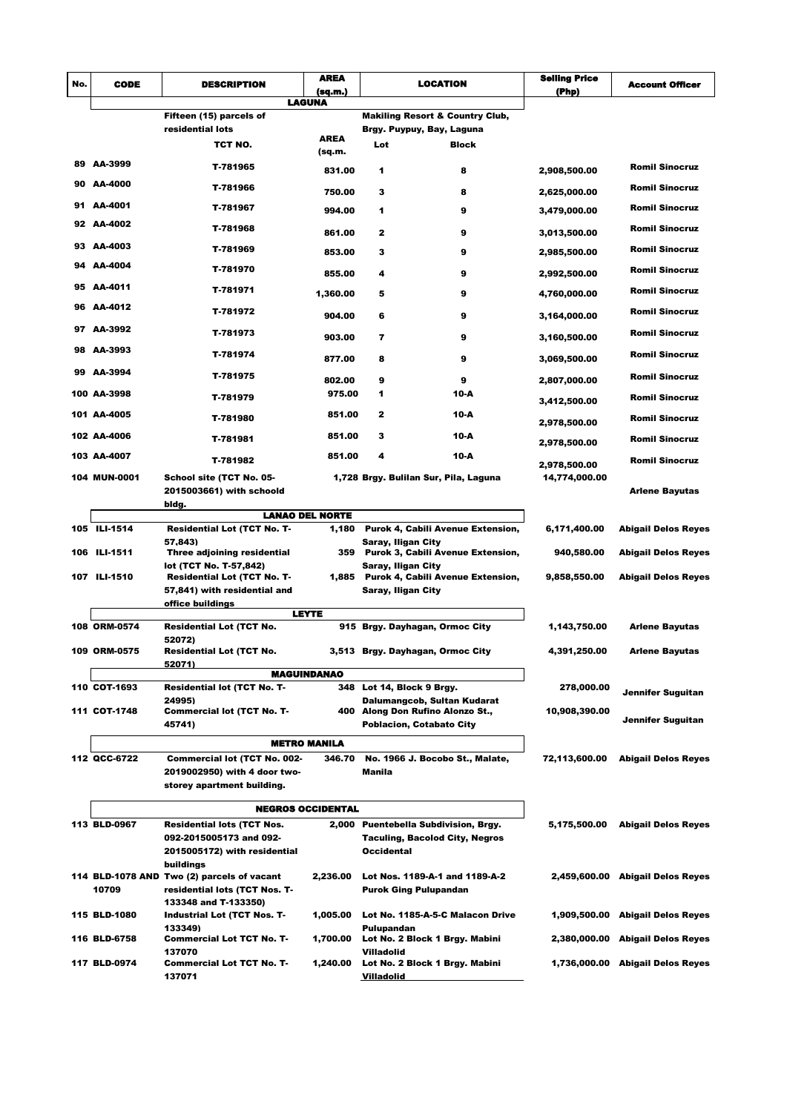|                          | <b>AREA</b><br><b>CODE</b><br>LOCATION<br><b>DESCRIPTION</b> |                                                                    |                        |                    | <b>Seiling Price</b>                                     |               |                                  |
|--------------------------|--------------------------------------------------------------|--------------------------------------------------------------------|------------------------|--------------------|----------------------------------------------------------|---------------|----------------------------------|
| No.                      |                                                              |                                                                    | (sq.m.)                |                    |                                                          | (Php)         | <b>Account Officer</b>           |
|                          |                                                              | <b>LAGUNA</b>                                                      |                        |                    |                                                          |               |                                  |
|                          |                                                              | Fifteen (15) parcels of                                            |                        |                    | <b>Makiling Resort &amp; Country Club,</b>               |               |                                  |
|                          |                                                              | residential lots                                                   | <b>AREA</b>            |                    | Brgy. Puypuy, Bay, Laguna                                |               |                                  |
|                          |                                                              | TCT NO.                                                            | (sq.m.                 | Lot                | <b>Block</b>                                             |               |                                  |
|                          | 89 AA-3999                                                   | T-781965                                                           | 831.00                 | 1                  | 8                                                        | 2,908,500.00  | <b>Romil Sinocruz</b>            |
|                          | 90 AA-4000                                                   |                                                                    |                        |                    |                                                          |               |                                  |
|                          |                                                              | T-781966                                                           | 750.00                 | з                  | 8                                                        | 2,625,000.00  | <b>Romil Sinocruz</b>            |
|                          | 91 AA-4001                                                   | T-781967                                                           | 994.00                 | 1                  | 9                                                        | 3,479,000.00  | <b>Romil Sinocruz</b>            |
|                          | 92 AA-4002                                                   | T-781968                                                           | 861.00                 | 2                  | 9                                                        | 3,013,500.00  | <b>Romil Sinocruz</b>            |
|                          | 93 AA-4003                                                   | T-781969                                                           | 853.00                 | з                  | 9                                                        | 2,985,500.00  | <b>Romil Sinocruz</b>            |
|                          | 94 AA-4004                                                   | T-781970                                                           |                        |                    |                                                          |               | <b>Romil Sinocruz</b>            |
|                          | 95 AA-4011                                                   |                                                                    | 855.00                 | 4                  | 9                                                        | 2,992,500.00  |                                  |
|                          | 96 AA-4012                                                   | T-781971                                                           | 1,360.00               | 5                  | 9                                                        | 4,760,000.00  | <b>Romil Sinocruz</b>            |
|                          |                                                              | T-781972                                                           | 904.00                 | 6                  | 9                                                        | 3,164,000.00  | <b>Romil Sinocruz</b>            |
|                          | 97 AA-3992                                                   | T-781973                                                           | 903.00                 | 7                  | 9                                                        | 3,160,500.00  | <b>Romil Sinocruz</b>            |
|                          | 98 AA-3993                                                   | T-781974                                                           | 877.00                 | 8                  | 9                                                        | 3,069,500.00  | <b>Romil Sinocruz</b>            |
|                          | 99 AA-3994                                                   | T-781975                                                           | 802.00                 | 9                  | 9                                                        | 2,807,000.00  | <b>Romil Sinocruz</b>            |
|                          | 100 AA-3998                                                  | T-781979                                                           | 975.00                 | 1                  | 10-A                                                     |               | <b>Romil Sinocruz</b>            |
|                          | 101 AA-4005                                                  |                                                                    | 851.00                 | $\mathbf{2}$       | 10-A                                                     | 3,412,500.00  |                                  |
|                          | 102 AA-4006                                                  | T-781980                                                           | 851.00                 | з                  | 10-A                                                     | 2,978,500.00  | <b>Romil Sinocruz</b>            |
|                          |                                                              | T-781981                                                           |                        |                    |                                                          | 2,978,500.00  | <b>Romil Sinocruz</b>            |
|                          | 103 AA-4007                                                  | T-781982                                                           | 851.00                 | 4                  | 10-A                                                     | 2,978,500.00  | <b>Romil Sinocruz</b>            |
|                          | 104 MUN-0001                                                 | School site (TCT No. 05-<br>2015003661) with schoold               |                        |                    | 1,728 Brgy. Bulilan Sur, Pila, Laguna                    | 14,774,000.00 | <b>Arlene Bayutas</b>            |
|                          | bldg.                                                        |                                                                    |                        |                    |                                                          |               |                                  |
|                          |                                                              |                                                                    | <b>LANAO DEL NORTE</b> |                    |                                                          |               |                                  |
|                          | 105 ILI-1514                                                 | <b>Residential Lot (TCT No. T-</b>                                 | 1,180                  |                    | Purok 4, Cabili Avenue Extension,                        | 6,171,400.00  | <b>Abigail Delos Reyes</b>       |
|                          | 106 ILI-1511                                                 | 57,843)<br>Three adjoining residential                             |                        | Saray, Iligan City | 359 Purok 3, Cabili Avenue Extension,                    | 940,580.00    | <b>Abigail Delos Reyes</b>       |
|                          |                                                              | lot (TCT No. T-57,842)                                             |                        | Saray, Iligan City |                                                          |               |                                  |
|                          | 107 ILI-1510                                                 | <b>Residential Lot (TCT No. T-</b><br>57,841) with residential and |                        | Saray, Iligan City | 1,885 Purok 4, Cabili Avenue Extension,                  | 9,858,550.00  | <b>Abigail Delos Reyes</b>       |
|                          |                                                              | office buildings                                                   |                        |                    |                                                          |               |                                  |
|                          |                                                              |                                                                    | <b>LEYTE</b>           |                    |                                                          |               |                                  |
|                          | 108 ORM-0574                                                 | <b>Residential Lot (TCT No.</b>                                    |                        |                    | 915 Brgy. Dayhagan, Ormoc City                           | 1,143,750.00  | <b>Arlene Bayutas</b>            |
|                          | 109 ORM-0575                                                 | 52072)<br><b>Residential Lot (TCT No.</b>                          |                        |                    | 3,513 Brgy. Dayhagan, Ormoc City                         | 4,391,250.00  | <b>Arlene Bayutas</b>            |
|                          |                                                              | 52071)                                                             |                        |                    |                                                          |               |                                  |
|                          |                                                              |                                                                    | <b>MAGUINDANAO</b>     |                    |                                                          |               |                                  |
|                          | 110 COT-1693                                                 | Residential lot (TCT No. T-<br>24995)                              |                        |                    | 348 Lot 14, Block 9 Brgy.<br>Dalumangcob, Sultan Kudarat | 278,000.00    | Jennifer Suguitan                |
|                          | 111 COT-1748                                                 | <b>Commercial lot (TCT No. T-</b>                                  |                        |                    | 400 Along Don Rufino Alonzo St.,                         | 10,908,390.00 |                                  |
|                          | 45741)<br><b>Poblacion, Cotabato City</b>                    |                                                                    |                        |                    |                                                          |               | Jennifer Suguitan                |
|                          |                                                              |                                                                    | <b>METRO MANILA</b>    |                    |                                                          |               |                                  |
|                          | 112 QCC-6722                                                 | Commercial lot (TCT No. 002-                                       | 346.70                 |                    | No. 1966 J. Bocobo St., Malate,                          | 72,113,600.00 | <b>Abigail Delos Reyes</b>       |
|                          |                                                              | 2019002950) with 4 door two-<br>storey apartment building.         |                        | Manila             |                                                          |               |                                  |
|                          |                                                              |                                                                    |                        |                    |                                                          |               |                                  |
| <b>NEGROS OCCIDENTAL</b> |                                                              |                                                                    |                        |                    |                                                          |               |                                  |
|                          | 113 BLD-0967                                                 | <b>Residential lots (TCT Nos.</b>                                  |                        |                    | 2,000 Puentebella Subdivision, Brgy.                     | 5,175,500.00  | <b>Abigail Delos Reyes</b>       |
|                          |                                                              | 092-2015005173 and 092-                                            |                        |                    | <b>Taculing, Bacolod City, Negros</b>                    |               |                                  |
|                          |                                                              | 2015005172) with residential<br>buildings                          |                        | <b>Occidental</b>  |                                                          |               |                                  |
|                          |                                                              | 114 BLD-1078 AND Two (2) parcels of vacant                         | 2,236.00               |                    | Lot Nos. 1189-A-1 and 1189-A-2                           |               | 2,459,600.00 Abigail Delos Reyes |
|                          | 10709                                                        | residential lots (TCT Nos. T-                                      |                        |                    | <b>Purok Ging Pulupandan</b>                             |               |                                  |
|                          | 115 BLD-1080                                                 | 133348 and T-133350)<br><b>Industrial Lot (TCT Nos. T-</b>         | 1,005.00               |                    | Lot No. 1185-A-5-C Malacon Drive                         | 1,909,500.00  | <b>Abigail Delos Reyes</b>       |
|                          |                                                              | 133349)                                                            |                        | Pulupandan         |                                                          |               |                                  |
|                          | 116 BLD-6758                                                 | <b>Commercial Lot TCT No. T-</b><br>137070                         | 1,700.00               | <b>Villadolid</b>  | Lot No. 2 Block 1 Brgy. Mabini                           | 2,380,000.00  | <b>Abigail Delos Reyes</b>       |
|                          | 117 BLD-0974                                                 | <b>Commercial Lot TCT No. T-</b>                                   | 1,240.00               |                    | Lot No. 2 Block 1 Brgy. Mabini                           | 1,736,000.00  | <b>Abigail Delos Reyes</b>       |
|                          | 137071<br><u>Villadolid</u>                                  |                                                                    |                        |                    |                                                          |               |                                  |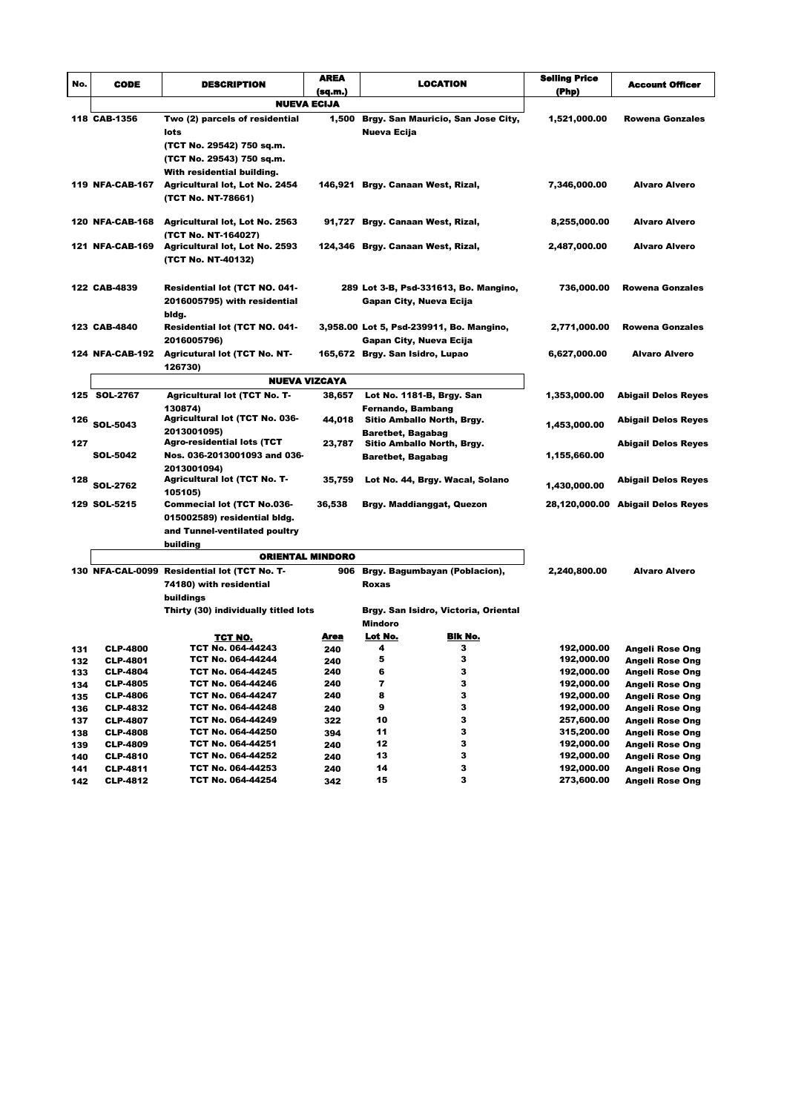| LOCATION<br><b>CODE</b><br><b>DESCRIPTION</b><br>No.<br>(sq.m.)<br>(Php)<br><b>NUEVA ECIJA</b><br>118 CAB-1356<br>Two (2) parcels of residential<br>1,500<br>Brgy. San Mauricio, San Jose City,<br>1,521,000.00<br>Nueva Ecija<br>lots<br>(TCT No. 29542) 750 sq.m.<br>(TCT No. 29543) 750 sq.m.<br>With residential building.<br>119 NFA-CAB-167<br>7,346,000.00<br><b>Agricultural lot, Lot No. 2454</b><br>146,921 Brgy. Canaan West, Rizal,<br>(TCT No. NT-78661)<br><b>120 NFA-CAB-168</b><br><b>Agricultural lot, Lot No. 2563</b><br>91,727 Brgy. Canaan West, Rizal,<br>8,255,000.00<br>(TCT No. NT-164027)<br><b>121 NFA-CAB-169</b><br><b>Agricultural lot, Lot No. 2593</b><br>124,346 Brgy. Canaan West, Rizal,<br>2,487,000.00<br>(TCT No. NT-40132)<br>122 CAB-4839<br>Residential lot (TCT NO. 041-<br>289 Lot 3-B, Psd-331613, Bo. Mangino,<br>736,000.00<br>2016005795) with residential<br>Gapan City, Nueva Ecija<br>bldg.<br>123 CAB-4840<br>Residential lot (TCT NO. 041-<br>3,958.00 Lot 5, Psd-239911, Bo. Mangino,<br>2,771,000.00<br>2016005796)<br><b>Gapan City, Nueva Ecija</b><br><b>Agricutural lot (TCT No. NT-</b><br><b>124 NFA-CAB-192</b><br>165,672 Brgy. San Isidro, Lupao<br>6,627,000.00<br>126730)<br><b>NUEVA VIZCAYA</b><br>125 SOL-2767<br><b>Agricultural lot (TCT No. T-</b><br>38,657<br>Lot No. 1181-B, Brgy. San<br>1,353,000.00<br>130874)<br>Fernando, Bambang<br><b>Agricultural lot (TCT No. 036-</b><br>44,018<br>Sitio Amballo North, Brgy.<br>126<br><b>SOL-5043</b><br>1,453,000.00<br>2013001095)<br><b>Baretbet, Bagabag</b><br><b>Agro-residential lots (TCT</b><br>127<br>23,787<br>Sitio Amballo North, Brgy.<br>Nos. 036-2013001093 and 036-<br>SOL-5042<br>1,155,660.00<br><b>Baretbet, Bagabag</b><br>2013001094)<br><b>Agricultural lot (TCT No. T-</b><br>128<br>35,759<br>Lot No. 44, Brgy. Wacal, Solano<br><b>SOL-2762</b><br>1,430,000.00<br>105105)<br>129 SOL-5215<br>Commecial lot (TCT No.036-<br>36,538<br>Brgy. Maddianggat, Quezon<br>28,120,000.00 Abigail Delos Reyes | <b>Account Officer</b><br><b>Rowena Gonzales</b><br><b>Alvaro Alvero</b><br><b>Alvaro Alvero</b><br><b>Alvaro Alvero</b><br><b>Rowena Gonzales</b><br>Rowena Gonzales<br><b>Alvaro Alvero</b> |
|------------------------------------------------------------------------------------------------------------------------------------------------------------------------------------------------------------------------------------------------------------------------------------------------------------------------------------------------------------------------------------------------------------------------------------------------------------------------------------------------------------------------------------------------------------------------------------------------------------------------------------------------------------------------------------------------------------------------------------------------------------------------------------------------------------------------------------------------------------------------------------------------------------------------------------------------------------------------------------------------------------------------------------------------------------------------------------------------------------------------------------------------------------------------------------------------------------------------------------------------------------------------------------------------------------------------------------------------------------------------------------------------------------------------------------------------------------------------------------------------------------------------------------------------------------------------------------------------------------------------------------------------------------------------------------------------------------------------------------------------------------------------------------------------------------------------------------------------------------------------------------------------------------------------------------------------------------------------------------------------------------------------------------------------------|-----------------------------------------------------------------------------------------------------------------------------------------------------------------------------------------------|
|                                                                                                                                                                                                                                                                                                                                                                                                                                                                                                                                                                                                                                                                                                                                                                                                                                                                                                                                                                                                                                                                                                                                                                                                                                                                                                                                                                                                                                                                                                                                                                                                                                                                                                                                                                                                                                                                                                                                                                                                                                                      |                                                                                                                                                                                               |
|                                                                                                                                                                                                                                                                                                                                                                                                                                                                                                                                                                                                                                                                                                                                                                                                                                                                                                                                                                                                                                                                                                                                                                                                                                                                                                                                                                                                                                                                                                                                                                                                                                                                                                                                                                                                                                                                                                                                                                                                                                                      |                                                                                                                                                                                               |
|                                                                                                                                                                                                                                                                                                                                                                                                                                                                                                                                                                                                                                                                                                                                                                                                                                                                                                                                                                                                                                                                                                                                                                                                                                                                                                                                                                                                                                                                                                                                                                                                                                                                                                                                                                                                                                                                                                                                                                                                                                                      |                                                                                                                                                                                               |
|                                                                                                                                                                                                                                                                                                                                                                                                                                                                                                                                                                                                                                                                                                                                                                                                                                                                                                                                                                                                                                                                                                                                                                                                                                                                                                                                                                                                                                                                                                                                                                                                                                                                                                                                                                                                                                                                                                                                                                                                                                                      |                                                                                                                                                                                               |
|                                                                                                                                                                                                                                                                                                                                                                                                                                                                                                                                                                                                                                                                                                                                                                                                                                                                                                                                                                                                                                                                                                                                                                                                                                                                                                                                                                                                                                                                                                                                                                                                                                                                                                                                                                                                                                                                                                                                                                                                                                                      |                                                                                                                                                                                               |
|                                                                                                                                                                                                                                                                                                                                                                                                                                                                                                                                                                                                                                                                                                                                                                                                                                                                                                                                                                                                                                                                                                                                                                                                                                                                                                                                                                                                                                                                                                                                                                                                                                                                                                                                                                                                                                                                                                                                                                                                                                                      |                                                                                                                                                                                               |
|                                                                                                                                                                                                                                                                                                                                                                                                                                                                                                                                                                                                                                                                                                                                                                                                                                                                                                                                                                                                                                                                                                                                                                                                                                                                                                                                                                                                                                                                                                                                                                                                                                                                                                                                                                                                                                                                                                                                                                                                                                                      |                                                                                                                                                                                               |
|                                                                                                                                                                                                                                                                                                                                                                                                                                                                                                                                                                                                                                                                                                                                                                                                                                                                                                                                                                                                                                                                                                                                                                                                                                                                                                                                                                                                                                                                                                                                                                                                                                                                                                                                                                                                                                                                                                                                                                                                                                                      |                                                                                                                                                                                               |
|                                                                                                                                                                                                                                                                                                                                                                                                                                                                                                                                                                                                                                                                                                                                                                                                                                                                                                                                                                                                                                                                                                                                                                                                                                                                                                                                                                                                                                                                                                                                                                                                                                                                                                                                                                                                                                                                                                                                                                                                                                                      |                                                                                                                                                                                               |
|                                                                                                                                                                                                                                                                                                                                                                                                                                                                                                                                                                                                                                                                                                                                                                                                                                                                                                                                                                                                                                                                                                                                                                                                                                                                                                                                                                                                                                                                                                                                                                                                                                                                                                                                                                                                                                                                                                                                                                                                                                                      |                                                                                                                                                                                               |
|                                                                                                                                                                                                                                                                                                                                                                                                                                                                                                                                                                                                                                                                                                                                                                                                                                                                                                                                                                                                                                                                                                                                                                                                                                                                                                                                                                                                                                                                                                                                                                                                                                                                                                                                                                                                                                                                                                                                                                                                                                                      |                                                                                                                                                                                               |
|                                                                                                                                                                                                                                                                                                                                                                                                                                                                                                                                                                                                                                                                                                                                                                                                                                                                                                                                                                                                                                                                                                                                                                                                                                                                                                                                                                                                                                                                                                                                                                                                                                                                                                                                                                                                                                                                                                                                                                                                                                                      |                                                                                                                                                                                               |
|                                                                                                                                                                                                                                                                                                                                                                                                                                                                                                                                                                                                                                                                                                                                                                                                                                                                                                                                                                                                                                                                                                                                                                                                                                                                                                                                                                                                                                                                                                                                                                                                                                                                                                                                                                                                                                                                                                                                                                                                                                                      |                                                                                                                                                                                               |
|                                                                                                                                                                                                                                                                                                                                                                                                                                                                                                                                                                                                                                                                                                                                                                                                                                                                                                                                                                                                                                                                                                                                                                                                                                                                                                                                                                                                                                                                                                                                                                                                                                                                                                                                                                                                                                                                                                                                                                                                                                                      |                                                                                                                                                                                               |
|                                                                                                                                                                                                                                                                                                                                                                                                                                                                                                                                                                                                                                                                                                                                                                                                                                                                                                                                                                                                                                                                                                                                                                                                                                                                                                                                                                                                                                                                                                                                                                                                                                                                                                                                                                                                                                                                                                                                                                                                                                                      |                                                                                                                                                                                               |
|                                                                                                                                                                                                                                                                                                                                                                                                                                                                                                                                                                                                                                                                                                                                                                                                                                                                                                                                                                                                                                                                                                                                                                                                                                                                                                                                                                                                                                                                                                                                                                                                                                                                                                                                                                                                                                                                                                                                                                                                                                                      |                                                                                                                                                                                               |
|                                                                                                                                                                                                                                                                                                                                                                                                                                                                                                                                                                                                                                                                                                                                                                                                                                                                                                                                                                                                                                                                                                                                                                                                                                                                                                                                                                                                                                                                                                                                                                                                                                                                                                                                                                                                                                                                                                                                                                                                                                                      |                                                                                                                                                                                               |
|                                                                                                                                                                                                                                                                                                                                                                                                                                                                                                                                                                                                                                                                                                                                                                                                                                                                                                                                                                                                                                                                                                                                                                                                                                                                                                                                                                                                                                                                                                                                                                                                                                                                                                                                                                                                                                                                                                                                                                                                                                                      |                                                                                                                                                                                               |
|                                                                                                                                                                                                                                                                                                                                                                                                                                                                                                                                                                                                                                                                                                                                                                                                                                                                                                                                                                                                                                                                                                                                                                                                                                                                                                                                                                                                                                                                                                                                                                                                                                                                                                                                                                                                                                                                                                                                                                                                                                                      |                                                                                                                                                                                               |
|                                                                                                                                                                                                                                                                                                                                                                                                                                                                                                                                                                                                                                                                                                                                                                                                                                                                                                                                                                                                                                                                                                                                                                                                                                                                                                                                                                                                                                                                                                                                                                                                                                                                                                                                                                                                                                                                                                                                                                                                                                                      |                                                                                                                                                                                               |
|                                                                                                                                                                                                                                                                                                                                                                                                                                                                                                                                                                                                                                                                                                                                                                                                                                                                                                                                                                                                                                                                                                                                                                                                                                                                                                                                                                                                                                                                                                                                                                                                                                                                                                                                                                                                                                                                                                                                                                                                                                                      |                                                                                                                                                                                               |
|                                                                                                                                                                                                                                                                                                                                                                                                                                                                                                                                                                                                                                                                                                                                                                                                                                                                                                                                                                                                                                                                                                                                                                                                                                                                                                                                                                                                                                                                                                                                                                                                                                                                                                                                                                                                                                                                                                                                                                                                                                                      | <b>Abigail Delos Reyes</b>                                                                                                                                                                    |
|                                                                                                                                                                                                                                                                                                                                                                                                                                                                                                                                                                                                                                                                                                                                                                                                                                                                                                                                                                                                                                                                                                                                                                                                                                                                                                                                                                                                                                                                                                                                                                                                                                                                                                                                                                                                                                                                                                                                                                                                                                                      |                                                                                                                                                                                               |
|                                                                                                                                                                                                                                                                                                                                                                                                                                                                                                                                                                                                                                                                                                                                                                                                                                                                                                                                                                                                                                                                                                                                                                                                                                                                                                                                                                                                                                                                                                                                                                                                                                                                                                                                                                                                                                                                                                                                                                                                                                                      | <b>Abigail Delos Reyes</b>                                                                                                                                                                    |
|                                                                                                                                                                                                                                                                                                                                                                                                                                                                                                                                                                                                                                                                                                                                                                                                                                                                                                                                                                                                                                                                                                                                                                                                                                                                                                                                                                                                                                                                                                                                                                                                                                                                                                                                                                                                                                                                                                                                                                                                                                                      | <b>Abigail Delos Reyes</b>                                                                                                                                                                    |
|                                                                                                                                                                                                                                                                                                                                                                                                                                                                                                                                                                                                                                                                                                                                                                                                                                                                                                                                                                                                                                                                                                                                                                                                                                                                                                                                                                                                                                                                                                                                                                                                                                                                                                                                                                                                                                                                                                                                                                                                                                                      |                                                                                                                                                                                               |
|                                                                                                                                                                                                                                                                                                                                                                                                                                                                                                                                                                                                                                                                                                                                                                                                                                                                                                                                                                                                                                                                                                                                                                                                                                                                                                                                                                                                                                                                                                                                                                                                                                                                                                                                                                                                                                                                                                                                                                                                                                                      |                                                                                                                                                                                               |
|                                                                                                                                                                                                                                                                                                                                                                                                                                                                                                                                                                                                                                                                                                                                                                                                                                                                                                                                                                                                                                                                                                                                                                                                                                                                                                                                                                                                                                                                                                                                                                                                                                                                                                                                                                                                                                                                                                                                                                                                                                                      | <b>Abigail Delos Reyes</b>                                                                                                                                                                    |
|                                                                                                                                                                                                                                                                                                                                                                                                                                                                                                                                                                                                                                                                                                                                                                                                                                                                                                                                                                                                                                                                                                                                                                                                                                                                                                                                                                                                                                                                                                                                                                                                                                                                                                                                                                                                                                                                                                                                                                                                                                                      |                                                                                                                                                                                               |
|                                                                                                                                                                                                                                                                                                                                                                                                                                                                                                                                                                                                                                                                                                                                                                                                                                                                                                                                                                                                                                                                                                                                                                                                                                                                                                                                                                                                                                                                                                                                                                                                                                                                                                                                                                                                                                                                                                                                                                                                                                                      |                                                                                                                                                                                               |
| 015002589) residential bldg.<br>and Tunnel-ventilated poultry                                                                                                                                                                                                                                                                                                                                                                                                                                                                                                                                                                                                                                                                                                                                                                                                                                                                                                                                                                                                                                                                                                                                                                                                                                                                                                                                                                                                                                                                                                                                                                                                                                                                                                                                                                                                                                                                                                                                                                                        |                                                                                                                                                                                               |
| building                                                                                                                                                                                                                                                                                                                                                                                                                                                                                                                                                                                                                                                                                                                                                                                                                                                                                                                                                                                                                                                                                                                                                                                                                                                                                                                                                                                                                                                                                                                                                                                                                                                                                                                                                                                                                                                                                                                                                                                                                                             |                                                                                                                                                                                               |
| ORIENTAL MINDORO                                                                                                                                                                                                                                                                                                                                                                                                                                                                                                                                                                                                                                                                                                                                                                                                                                                                                                                                                                                                                                                                                                                                                                                                                                                                                                                                                                                                                                                                                                                                                                                                                                                                                                                                                                                                                                                                                                                                                                                                                                     |                                                                                                                                                                                               |
| 130 NFA-CAL-0099 Residential lot (TCT No. T-<br>2,240,800.00<br>906<br>Brgy. Bagumbayan (Poblacion),                                                                                                                                                                                                                                                                                                                                                                                                                                                                                                                                                                                                                                                                                                                                                                                                                                                                                                                                                                                                                                                                                                                                                                                                                                                                                                                                                                                                                                                                                                                                                                                                                                                                                                                                                                                                                                                                                                                                                 | <b>Alvaro Alvero</b>                                                                                                                                                                          |
| 74180) with residential<br>Roxas                                                                                                                                                                                                                                                                                                                                                                                                                                                                                                                                                                                                                                                                                                                                                                                                                                                                                                                                                                                                                                                                                                                                                                                                                                                                                                                                                                                                                                                                                                                                                                                                                                                                                                                                                                                                                                                                                                                                                                                                                     |                                                                                                                                                                                               |
| buildings                                                                                                                                                                                                                                                                                                                                                                                                                                                                                                                                                                                                                                                                                                                                                                                                                                                                                                                                                                                                                                                                                                                                                                                                                                                                                                                                                                                                                                                                                                                                                                                                                                                                                                                                                                                                                                                                                                                                                                                                                                            |                                                                                                                                                                                               |
| Thirty (30) individually titled lots<br>Brgy. San Isidro, Victoria, Oriental                                                                                                                                                                                                                                                                                                                                                                                                                                                                                                                                                                                                                                                                                                                                                                                                                                                                                                                                                                                                                                                                                                                                                                                                                                                                                                                                                                                                                                                                                                                                                                                                                                                                                                                                                                                                                                                                                                                                                                         |                                                                                                                                                                                               |
| Mindoro                                                                                                                                                                                                                                                                                                                                                                                                                                                                                                                                                                                                                                                                                                                                                                                                                                                                                                                                                                                                                                                                                                                                                                                                                                                                                                                                                                                                                                                                                                                                                                                                                                                                                                                                                                                                                                                                                                                                                                                                                                              |                                                                                                                                                                                               |
| Bik No.<br>Lot No.<br>Area<br>TCT NO.<br>192,000.00                                                                                                                                                                                                                                                                                                                                                                                                                                                                                                                                                                                                                                                                                                                                                                                                                                                                                                                                                                                                                                                                                                                                                                                                                                                                                                                                                                                                                                                                                                                                                                                                                                                                                                                                                                                                                                                                                                                                                                                                  |                                                                                                                                                                                               |
| TCT No. 064-44243<br>3<br>4<br><b>CLP-4800</b><br>240<br>131<br>5<br>з<br>192,000.00<br>TCT No. 064-44244<br><b>CLP-4801</b>                                                                                                                                                                                                                                                                                                                                                                                                                                                                                                                                                                                                                                                                                                                                                                                                                                                                                                                                                                                                                                                                                                                                                                                                                                                                                                                                                                                                                                                                                                                                                                                                                                                                                                                                                                                                                                                                                                                         | Angeli Rose Ong                                                                                                                                                                               |
| 132<br>240<br>6<br>3<br><b>CLP-4804</b><br>TCT No. 064-44245<br>240<br>192,000.00<br>133                                                                                                                                                                                                                                                                                                                                                                                                                                                                                                                                                                                                                                                                                                                                                                                                                                                                                                                                                                                                                                                                                                                                                                                                                                                                                                                                                                                                                                                                                                                                                                                                                                                                                                                                                                                                                                                                                                                                                             |                                                                                                                                                                                               |
| 3<br>TCT No. 064-44246<br>7<br>192,000.00<br><b>CLP-4805</b><br>240<br>134                                                                                                                                                                                                                                                                                                                                                                                                                                                                                                                                                                                                                                                                                                                                                                                                                                                                                                                                                                                                                                                                                                                                                                                                                                                                                                                                                                                                                                                                                                                                                                                                                                                                                                                                                                                                                                                                                                                                                                           | Angeli Rose Ong                                                                                                                                                                               |
| 3<br>TCT No. 064-44247<br>8<br><b>CLP-4806</b><br>240<br>192,000.00<br>135                                                                                                                                                                                                                                                                                                                                                                                                                                                                                                                                                                                                                                                                                                                                                                                                                                                                                                                                                                                                                                                                                                                                                                                                                                                                                                                                                                                                                                                                                                                                                                                                                                                                                                                                                                                                                                                                                                                                                                           | Angeli Rose Ong<br>Angeli Rose Ong                                                                                                                                                            |
| 3<br>9<br>TCT No. 064-44248<br>192,000.00<br><b>CLP-4832</b><br>136<br>240                                                                                                                                                                                                                                                                                                                                                                                                                                                                                                                                                                                                                                                                                                                                                                                                                                                                                                                                                                                                                                                                                                                                                                                                                                                                                                                                                                                                                                                                                                                                                                                                                                                                                                                                                                                                                                                                                                                                                                           | Angeli Rose Ong                                                                                                                                                                               |
| 3<br>TCT No. 064-44249<br>10<br>257,600.00<br><b>CLP-4807</b><br>322<br>137                                                                                                                                                                                                                                                                                                                                                                                                                                                                                                                                                                                                                                                                                                                                                                                                                                                                                                                                                                                                                                                                                                                                                                                                                                                                                                                                                                                                                                                                                                                                                                                                                                                                                                                                                                                                                                                                                                                                                                          | Angeli Rose Ong                                                                                                                                                                               |
| 3<br>TCT No. 064-44250<br>11<br>315,200.00<br><b>CLP-4808</b><br>394<br>138                                                                                                                                                                                                                                                                                                                                                                                                                                                                                                                                                                                                                                                                                                                                                                                                                                                                                                                                                                                                                                                                                                                                                                                                                                                                                                                                                                                                                                                                                                                                                                                                                                                                                                                                                                                                                                                                                                                                                                          | Angeli Rose Ong                                                                                                                                                                               |
|                                                                                                                                                                                                                                                                                                                                                                                                                                                                                                                                                                                                                                                                                                                                                                                                                                                                                                                                                                                                                                                                                                                                                                                                                                                                                                                                                                                                                                                                                                                                                                                                                                                                                                                                                                                                                                                                                                                                                                                                                                                      | Angeli Rose Ong                                                                                                                                                                               |
| 12<br>з<br>TCT No. 064-44251<br>192,000.00<br><b>CLP-4809</b><br>139<br>240                                                                                                                                                                                                                                                                                                                                                                                                                                                                                                                                                                                                                                                                                                                                                                                                                                                                                                                                                                                                                                                                                                                                                                                                                                                                                                                                                                                                                                                                                                                                                                                                                                                                                                                                                                                                                                                                                                                                                                          | Angeli Rose Ong                                                                                                                                                                               |
| 3<br>TCT No. 064-44252<br>13<br>192,000.00<br>140<br><b>CLP-4810</b><br>240<br>3<br>TCT No. 064-44253<br>14<br>192,000.00<br>141<br><b>CLP-4811</b><br>240                                                                                                                                                                                                                                                                                                                                                                                                                                                                                                                                                                                                                                                                                                                                                                                                                                                                                                                                                                                                                                                                                                                                                                                                                                                                                                                                                                                                                                                                                                                                                                                                                                                                                                                                                                                                                                                                                           | Angeli Rose Ong<br>Angeli Rose Ong                                                                                                                                                            |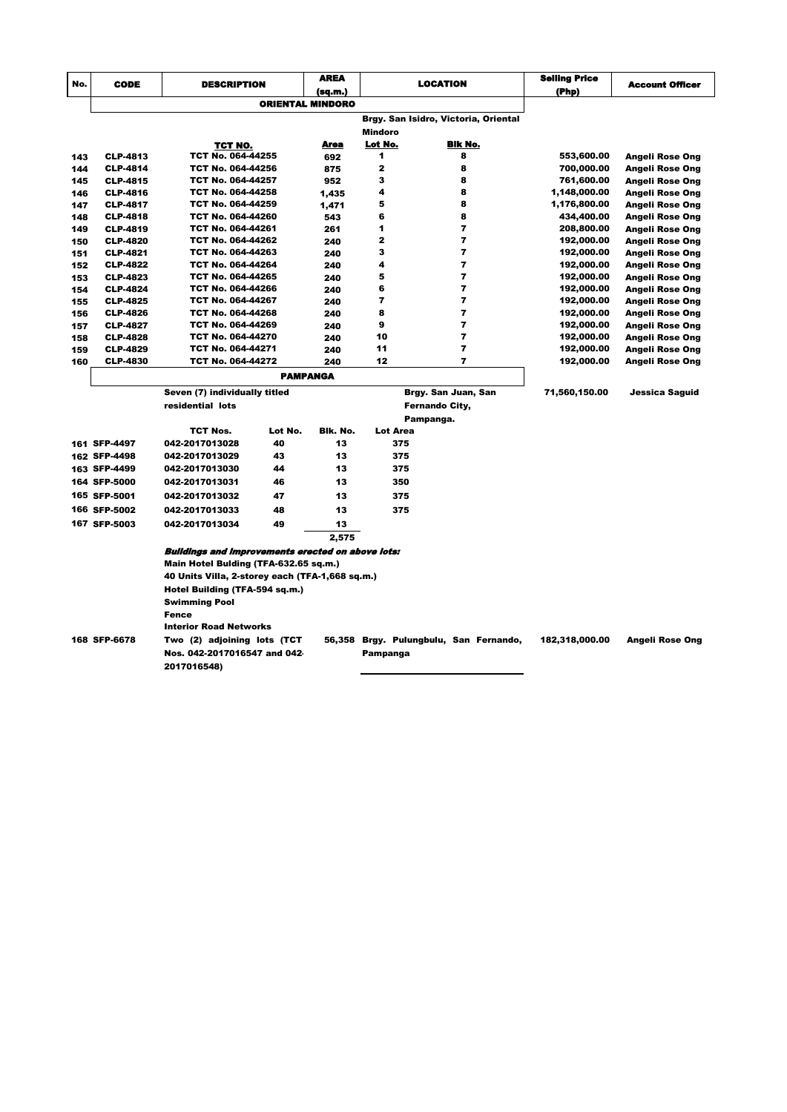| No. | <b>CODE</b>     | <b>DESCRIPTION</b>                                       |                         | <b>AREA</b> |                 | <b>LOCATION</b>                        | <b>Selling Price</b><br>(Php) | <b>Account Officer</b> |
|-----|-----------------|----------------------------------------------------------|-------------------------|-------------|-----------------|----------------------------------------|-------------------------------|------------------------|
|     |                 |                                                          | <b>ORIENTAL MINDORO</b> | (sq.m.)     |                 |                                        |                               |                        |
|     |                 |                                                          |                         |             |                 |                                        |                               |                        |
|     |                 |                                                          |                         |             |                 | Brgy. San Isidro, Victoria, Oriental   |                               |                        |
|     |                 |                                                          |                         |             | Mindoro         |                                        |                               |                        |
|     |                 | TCT NO.                                                  |                         | Area        | Lot No.<br>1    | Bik No.                                |                               |                        |
| 143 | <b>CLP-4813</b> | TCT No. 064-44255                                        |                         | 692         |                 | 8                                      | 553,600.00                    | <b>Angeli Rose Ong</b> |
| 144 | <b>CLP-4814</b> | TCT No. 064-44256                                        |                         | 875         | 2               | 8                                      | 700,000.00                    | Angeli Rose Ong        |
| 145 | <b>CLP-4815</b> | TCT No. 064-44257                                        |                         | 952         | 3               | 8                                      | 761,600.00                    | Angeli Rose Ong        |
| 146 | <b>CLP-4816</b> | TCT No. 064-44258                                        |                         | 1,435       | 4               | 8                                      | 1,148,000.00                  | Angeli Rose Ong        |
| 147 | <b>CLP-4817</b> | TCT No. 064-44259                                        |                         | 1,471       | 5               | 8                                      | 1,176,800.00                  | Angeli Rose Ong        |
| 148 | <b>CLP-4818</b> | TCT No. 064-44260                                        |                         | 543         | 6               | 8                                      | 434,400.00                    | Angeli Rose Ong        |
| 149 | <b>CLP-4819</b> | TCT No. 064-44261                                        |                         | 261         | 1               | 7                                      | 208,800.00                    | Angeli Rose Ong        |
| 150 | <b>CLP-4820</b> | TCT No. 064-44262                                        |                         | 240         | $\overline{2}$  | $\overline{7}$                         | 192,000.00                    | Angeli Rose Ong        |
| 151 | <b>CLP-4821</b> | TCT No. 064-44263                                        |                         | 240         | 3               | $\overline{ }$                         | 192,000.00                    | Angeli Rose Ong        |
| 152 | <b>CLP-4822</b> | TCT No. 064-44264                                        |                         | 240         | 4               | $\overline{7}$                         | 192,000.00                    | Angeli Rose Ong        |
| 153 | <b>CLP-4823</b> | TCT No. 064-44265                                        |                         | 240         | 5               | 7                                      | 192,000.00                    | Angeli Rose Ong        |
| 154 | <b>CLP-4824</b> | TCT No. 064-44266                                        |                         | 240         | 6               | $\overline{7}$                         | 192,000.00                    | Angeli Rose Ong        |
| 155 | <b>CLP-4825</b> | TCT No. 064-44267                                        |                         | 240         | $\overline{7}$  | $\overline{ }$                         | 192,000.00                    | Angeli Rose Ong        |
| 156 | <b>CLP-4826</b> | TCT No. 064-44268                                        |                         | 240         | 8               | $\overline{7}$                         | 192,000.00                    | Angeli Rose Ong        |
| 157 | <b>CLP-4827</b> | TCT No. 064-44269                                        |                         | 240         | 9               | $\overline{7}$                         | 192,000.00                    | Angeli Rose Ong        |
| 158 | <b>CLP-4828</b> | TCT No. 064-44270                                        |                         | 240         | 10              | $\overline{ }$                         | 192,000.00                    | Angeli Rose Ong        |
| 159 | <b>CLP-4829</b> | TCT No. 064-44271                                        |                         | 240         | 11              | 7                                      | 192,000.00                    | Angeli Rose Ong        |
| 160 | <b>CLP-4830</b> | TCT No. 064-44272                                        |                         | 240         | 12              | $\overline{ }$                         | 192,000.00                    | Angeli Rose Ong        |
|     |                 | <b>PAMPANGA</b>                                          |                         |             |                 |                                        |                               |                        |
|     |                 | Seven (7) individually titled                            |                         |             |                 | Brgy. San Juan, San                    | 71,560,150.00                 | Jessica Saguid         |
|     |                 | residential lots                                         |                         |             |                 | <b>Fernando City,</b>                  |                               |                        |
|     |                 |                                                          |                         |             |                 | Pampanga.                              |                               |                        |
|     |                 | <b>TCT Nos.</b>                                          | Lot No.                 | Bik. No.    | <b>Lot Area</b> |                                        |                               |                        |
|     | 161 SFP-4497    | 042-2017013028                                           | 40                      | 13          |                 | 375                                    |                               |                        |
|     | 162 SFP-4498    | 042-2017013029                                           | 43                      | 13          |                 | 375                                    |                               |                        |
|     | 163 SFP-4499    | 042-2017013030                                           | 44                      | 13          |                 | 375                                    |                               |                        |
|     | 164 SFP-5000    | 042-2017013031                                           | 46                      | 13          |                 | 350                                    |                               |                        |
|     | 165 SFP-5001    | 042-2017013032                                           | 47                      | 13          |                 | 375                                    |                               |                        |
|     |                 |                                                          | 48                      |             |                 | 375                                    |                               |                        |
|     | 166 SFP-5002    | 042-2017013033                                           |                         | 13          |                 |                                        |                               |                        |
|     | 167 SFP-5003    | 042-2017013034                                           | 49                      | 13          |                 |                                        |                               |                        |
|     |                 |                                                          |                         | 2,575       |                 |                                        |                               |                        |
|     |                 | <b>Buildings and improvements erected on above lots:</b> |                         |             |                 |                                        |                               |                        |
|     |                 | Main Hotel Bulding (TFA-632.65 sq.m.)                    |                         |             |                 |                                        |                               |                        |
|     |                 | 40 Units Villa, 2-storey each (TFA-1,668 sq.m.)          |                         |             |                 |                                        |                               |                        |
|     |                 | Hotel Building (TFA-594 sq.m.)                           |                         |             |                 |                                        |                               |                        |
|     |                 | <b>Swimming Pool</b>                                     |                         |             |                 |                                        |                               |                        |
|     |                 | <b>Fence</b>                                             |                         |             |                 |                                        |                               |                        |
|     |                 | <b>Interior Road Networks</b>                            |                         |             |                 |                                        |                               |                        |
|     | 168 SFP-6678    | Two (2) adjoining lots (TCT                              |                         |             |                 | 56,358 Brgy. Pulungbulu, San Fernando, | 182,318,000.00                | <b>Angeli Rose Ong</b> |
|     |                 | Nos. 042-2017016547 and 042                              |                         |             | Pampanga        |                                        |                               |                        |
|     |                 |                                                          |                         |             |                 |                                        |                               |                        |
|     |                 | 2017016548)                                              |                         |             |                 |                                        |                               |                        |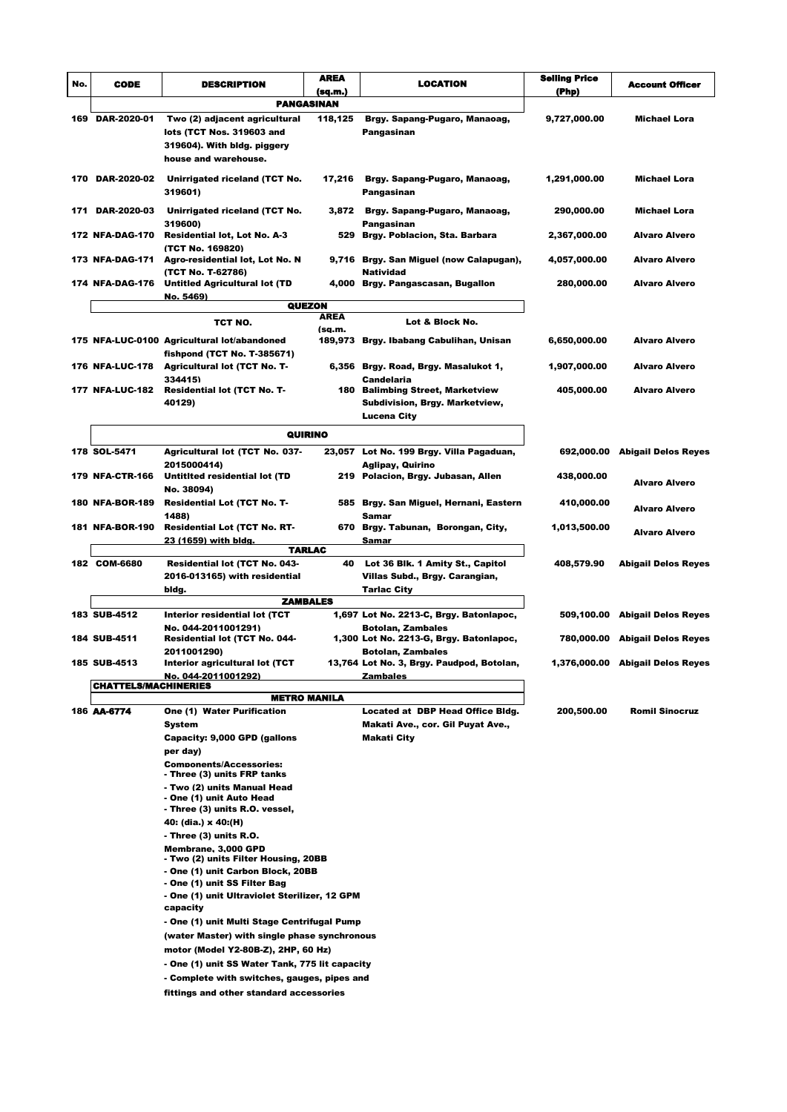| No. | <b>CODE</b>                 | <b>DESCRIPTION</b>                                                                     | AREA        | <b>LOCATION</b>                                              | <b>Seiling Price</b> | <b>Account Officer</b>           |
|-----|-----------------------------|----------------------------------------------------------------------------------------|-------------|--------------------------------------------------------------|----------------------|----------------------------------|
|     |                             |                                                                                        | (sq.m.)     |                                                              | (Php)                |                                  |
|     |                             | PANGASINAN                                                                             |             |                                                              |                      |                                  |
|     | 169 DAR-2020-01             | Two (2) adjacent agricultural                                                          | 118,125     | Brgy. Sapang-Pugaro, Manaoag,                                | 9,727,000.00         | Michael Lora                     |
|     |                             | lots (TCT Nos. 319603 and                                                              |             | Pangasinan                                                   |                      |                                  |
|     |                             | 319604). With bldg. piggery                                                            |             |                                                              |                      |                                  |
|     |                             | house and warehouse.                                                                   |             |                                                              |                      |                                  |
|     | 170 DAR-2020-02             | Unirrigated riceland (TCT No.<br>319601)                                               | 17,216      | Brgy. Sapang-Pugaro, Manaoag,<br>Pangasinan                  | 1,291,000.00         | Michael Lora                     |
|     | 171 DAR-2020-03             | Unirrigated riceland (TCT No.<br>319600)                                               | 3,872       | Brgy. Sapang-Pugaro, Manaoag,<br>Pangasinan                  | 290,000.00           | <b>Michael Lora</b>              |
|     | 172 NFA-DAG-170             | <b>Residential lot, Lot No. A-3</b><br>(TCT No. 169820)                                |             | 529 Brgy. Poblacion, Sta. Barbara                            | 2,367,000.00         | <b>Alvaro Alvero</b>             |
|     | <b>173 NFA-DAG-171</b>      | Agro-residential lot, Lot No. N<br>(TCT No. T-62786)                                   |             | 9,716 Brgy. San Miguel (now Calapugan),<br>Natividad         | 4,057,000.00         | <b>Alvaro Alvero</b>             |
|     | 174 NFA-DAG-176             | Untitled Agricultural lot (TD<br><u>No. 5469)</u>                                      |             | 4,000 Brgy. Pangascasan, Bugallon                            | 280,000.00           | <b>Alvaro Alvero</b>             |
|     |                             | <b>QUEZON</b>                                                                          | <b>AREA</b> |                                                              |                      |                                  |
|     |                             | TCT NO.                                                                                | (sa.m.      | Lot & Block No.                                              |                      |                                  |
|     |                             | 175 NFA-LUC-0100 Agricultural lot/abandoned<br>fishpond (TCT No. T-385671)             |             | 189,973 Brgy. Ibabang Cabulihan, Unisan                      | 6,650,000.00         | <b>Alvaro Alvero</b>             |
|     | <b>176 NFA-LUC-178</b>      | <b>Agricultural lot (TCT No. T-</b><br>334415)                                         |             | 6,356 Brgy. Road, Brgy. Masalukot 1,<br>Candelaria           | 1,907,000.00         | <b>Alvaro Alvero</b>             |
|     | 177 NFA-LUC-182             | <b>Residential lot (TCT No. T-</b>                                                     |             | 180 Balimbing Street, Marketview                             | 405,000.00           | <b>Alvaro Alvero</b>             |
|     |                             | 40129)                                                                                 |             | Subdivision, Brgy. Marketview,                               |                      |                                  |
|     |                             |                                                                                        |             | Lucena City                                                  |                      |                                  |
|     |                             | QUIRINO                                                                                |             |                                                              |                      |                                  |
|     | 178 SOL-5471                | Agricultural lot (TCT No. 037-                                                         |             | 23,057 Lot No. 199 Brgy. Villa Pagaduan,                     |                      | 692,000.00 Abigail Delos Reyes   |
|     | <b>179 NFA-CTR-166</b>      | 2015000414)<br>Untitited residential lot (TD                                           |             | Aglipay, Quirino<br>219 Polacion, Brgy. Jubasan, Allen       | 438,000.00           | <b>Alvaro Alvero</b>             |
|     | <b>180 NFA-BOR-189</b>      | No. 38094)<br>Residential Lot (TCT No. T-                                              |             | 585 Brgy. San Miguel, Hernani, Eastern                       | 410,000.00           | <b>Alvaro Alvero</b>             |
|     | 181 NFA-BOR-190             | 1488)<br><b>Residential Lot (TCT No. RT-</b>                                           |             | Samar<br>670 Brgy. Tabunan, Borongan, City,                  | 1,013,500.00         |                                  |
|     |                             | <u>23 (1659) with bldg.</u>                                                            |             | Samar                                                        |                      | <b>Alvaro Alvero</b>             |
|     |                             | <b>TARLAC</b>                                                                          |             |                                                              |                      |                                  |
|     | 182 COM-6680                | <b>Residential lot (TCT No. 043-</b>                                                   | 40          | Lot 36 Blk. 1 Amity St., Capitol                             | 408,579.90           | <b>Abigail Delos Reyes</b>       |
|     |                             | 2016-013165) with residential                                                          |             | Villas Subd., Brgy. Carangian,                               |                      |                                  |
|     |                             | bidg.<br><b>ZAMBALES</b>                                                               |             | <b>Tarlac City</b>                                           |                      |                                  |
|     | 183 SUB-4512                | Interior residential lot (TCT                                                          |             | 1,697 Lot No. 2213-C, Brgy. Batonlapoc,                      |                      | 509,100.00 Abigail Delos Reyes   |
|     |                             | No. 044-2011001291)                                                                    |             | <b>Botolan, Zambales</b>                                     |                      |                                  |
|     | 184 SUB-4511                | Residential lot (TCT No. 044-<br>2011001290)                                           |             | 1,300 Lot No. 2213-G, Brgy. Batonlapoc,<br>Botolan, Zambales |                      | 780,000.00 Abigail Delos Reyes   |
|     | 185 SUB-4513                | Interior agricultural lot (TCT                                                         |             | 13,764 Lot No. 3, Brgy. Paudpod, Botolan,                    |                      | 1,376,000.00 Abigail Delos Reyes |
|     | <b>CHATTELS/MACHINERIES</b> | No. 044-2011001292)                                                                    |             | Zambales                                                     |                      |                                  |
|     |                             | <b>METRO MANILA</b>                                                                    |             |                                                              |                      |                                  |
|     | 186 AA-6774                 | One (1) Water Purification                                                             |             | Located at DBP Head Office Bldg.                             | 200,500.00           | <b>Romil Sinocruz</b>            |
|     |                             | System                                                                                 |             | Makati Ave., cor. Gil Puyat Ave.,                            |                      |                                  |
|     |                             | Capacity: 9,000 GPD (gallons                                                           |             | Makati City                                                  |                      |                                  |
|     |                             | per day)                                                                               |             |                                                              |                      |                                  |
|     |                             | <b>Components/Accessories:</b><br>- Three (3) units FRP tanks                          |             |                                                              |                      |                                  |
|     |                             | - Two (2) units Manual Head                                                            |             |                                                              |                      |                                  |
|     |                             | - One (1) unit Auto Head                                                               |             |                                                              |                      |                                  |
|     |                             | - Three (3) units R.O. vessel,                                                         |             |                                                              |                      |                                  |
|     |                             | 40: (dia.) x 40:(H)                                                                    |             |                                                              |                      |                                  |
|     |                             | - Three (3) units R.O.<br>Membrane, 3,000 GPD                                          |             |                                                              |                      |                                  |
|     |                             | - Two (2) units Filter Housing, 20BB                                                   |             |                                                              |                      |                                  |
|     |                             | - One (1) unit Carbon Block, 20BB                                                      |             |                                                              |                      |                                  |
|     |                             | - One (1) unit SS Filter Bag                                                           |             |                                                              |                      |                                  |
|     |                             | - One (1) unit Ultraviolet Sterilizer, 12 GPM<br>capacity                              |             |                                                              |                      |                                  |
|     |                             | - One (1) unit Multi Stage Centrifugal Pump                                            |             |                                                              |                      |                                  |
|     |                             | (water Master) with single phase synchronous                                           |             |                                                              |                      |                                  |
|     |                             | motor (Model Y2-80B-Z), 2HP, 60 Hz)                                                    |             |                                                              |                      |                                  |
|     |                             | - One (1) unit SS Water Tank, 775 lit capacity                                         |             |                                                              |                      |                                  |
|     |                             | - Complete with switches, gauges, pipes and<br>fittings and other standard accessories |             |                                                              |                      |                                  |
|     |                             |                                                                                        |             |                                                              |                      |                                  |